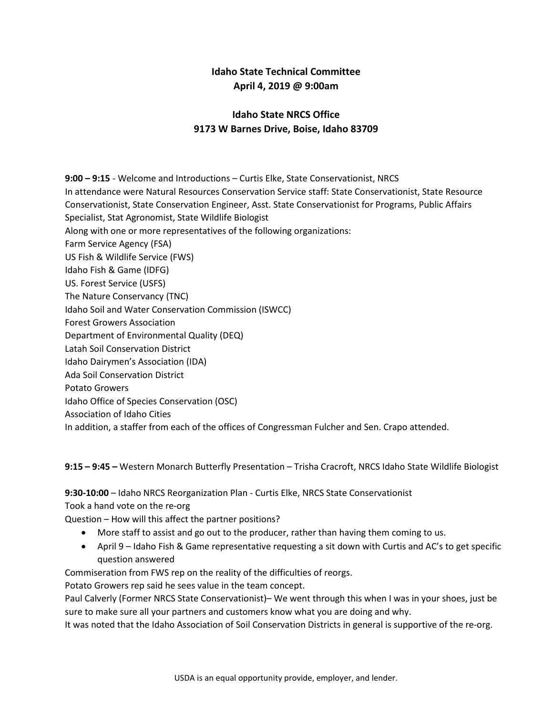# **Idaho State Technical Committee April 4, 2019 @ 9:00am**

# **Idaho State NRCS Office 9173 W Barnes Drive, Boise, Idaho 83709**

**9:00 – 9:15** - Welcome and Introductions – Curtis Elke, State Conservationist, NRCS In attendance were Natural Resources Conservation Service staff: State Conservationist, State Resource Conservationist, State Conservation Engineer, Asst. State Conservationist for Programs, Public Affairs Specialist, Stat Agronomist, State Wildlife Biologist Along with one or more representatives of the following organizations: Farm Service Agency (FSA) US Fish & Wildlife Service (FWS) Idaho Fish & Game (IDFG) US. Forest Service (USFS) The Nature Conservancy (TNC) Idaho Soil and Water Conservation Commission (ISWCC) Forest Growers Association Department of Environmental Quality (DEQ) Latah Soil Conservation District Idaho Dairymen's Association (IDA) Ada Soil Conservation District Potato Growers Idaho Office of Species Conservation (OSC) Association of Idaho Cities In addition, a staffer from each of the offices of Congressman Fulcher and Sen. Crapo attended.

**9:15 – 9:45 –** Western Monarch Butterfly Presentation – Trisha Cracroft, NRCS Idaho State Wildlife Biologist

## **9:30-10:00** – Idaho NRCS Reorganization Plan - Curtis Elke, NRCS State Conservationist

Took a hand vote on the re-org

Question – How will this affect the partner positions?

- More staff to assist and go out to the producer, rather than having them coming to us.
- April 9 Idaho Fish & Game representative requesting a sit down with Curtis and AC's to get specific question answered

Commiseration from FWS rep on the reality of the difficulties of reorgs.

Potato Growers rep said he sees value in the team concept.

Paul Calverly (Former NRCS State Conservationist)– We went through this when I was in your shoes, just be sure to make sure all your partners and customers know what you are doing and why.

It was noted that the Idaho Association of Soil Conservation Districts in general is supportive of the re-org.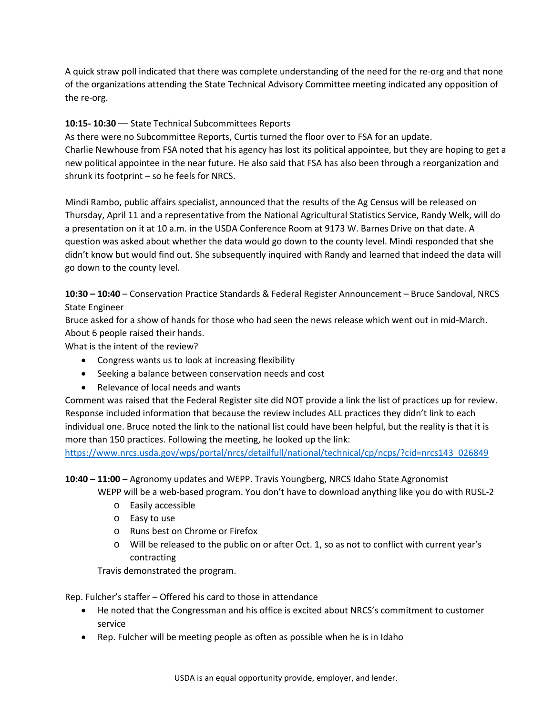A quick straw poll indicated that there was complete understanding of the need for the re-org and that none of the organizations attending the State Technical Advisory Committee meeting indicated any opposition of the re-org.

## **10:15- 10:30** –– State Technical Subcommittees Reports

As there were no Subcommittee Reports, Curtis turned the floor over to FSA for an update. Charlie Newhouse from FSA noted that his agency has lost its political appointee, but they are hoping to get a new political appointee in the near future. He also said that FSA has also been through a reorganization and shrunk its footprint – so he feels for NRCS.

Mindi Rambo, public affairs specialist, announced that the results of the Ag Census will be released on Thursday, April 11 and a representative from the National Agricultural Statistics Service, Randy Welk, will do a presentation on it at 10 a.m. in the USDA Conference Room at 9173 W. Barnes Drive on that date. A question was asked about whether the data would go down to the county level. Mindi responded that she didn't know but would find out. She subsequently inquired with Randy and learned that indeed the data will go down to the county level.

**10:30 – 10:40** – Conservation Practice Standards & Federal Register Announcement – Bruce Sandoval, NRCS State Engineer

Bruce asked for a show of hands for those who had seen the news release which went out in mid-March. About 6 people raised their hands.

What is the intent of the review?

- Congress wants us to look at increasing flexibility
- Seeking a balance between conservation needs and cost
- Relevance of local needs and wants

Comment was raised that the Federal Register site did NOT provide a link the list of practices up for review. Response included information that because the review includes ALL practices they didn't link to each individual one. Bruce noted the link to the national list could have been helpful, but the reality is that it is more than 150 practices. Following the meeting, he looked up the link:

[https://www.nrcs.usda.gov/wps/portal/nrcs/detailfull/national/technical/cp/ncps/?cid=nrcs143\\_026849](https://www.nrcs.usda.gov/wps/portal/nrcs/detailfull/national/technical/cp/ncps/?cid=nrcs143_026849)

### **10:40 – 11:00** – Agronomy updates and WEPP. Travis Youngberg, NRCS Idaho State Agronomist

WEPP will be a web-based program. You don't have to download anything like you do with RUSL-2

- o Easily accessible
- o Easy to use
- o Runs best on Chrome or Firefox
- o Will be released to the public on or after Oct. 1, so as not to conflict with current year's contracting

Travis demonstrated the program.

Rep. Fulcher's staffer – Offered his card to those in attendance

- He noted that the Congressman and his office is excited about NRCS's commitment to customer service
- Rep. Fulcher will be meeting people as often as possible when he is in Idaho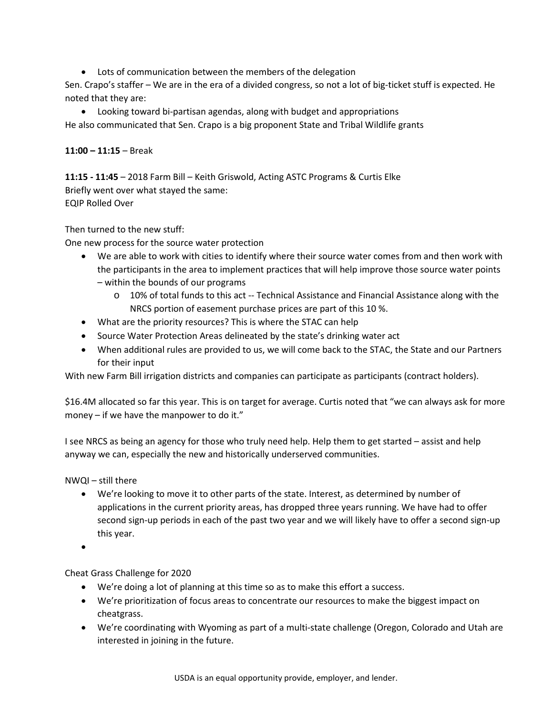• Lots of communication between the members of the delegation

Sen. Crapo's staffer – We are in the era of a divided congress, so not a lot of big-ticket stuff is expected. He noted that they are:

• Looking toward bi-partisan agendas, along with budget and appropriations He also communicated that Sen. Crapo is a big proponent State and Tribal Wildlife grants

**11:00 – 11:15** – Break

**11:15 - 11:45** – 2018 Farm Bill – Keith Griswold, Acting ASTC Programs & Curtis Elke Briefly went over what stayed the same: EQIP Rolled Over

Then turned to the new stuff:

One new process for the source water protection

- We are able to work with cities to identify where their source water comes from and then work with the participants in the area to implement practices that will help improve those source water points – within the bounds of our programs
	- o 10% of total funds to this act -- Technical Assistance and Financial Assistance along with the NRCS portion of easement purchase prices are part of this 10 %.
- What are the priority resources? This is where the STAC can help
- Source Water Protection Areas delineated by the state's drinking water act
- When additional rules are provided to us, we will come back to the STAC, the State and our Partners for their input

With new Farm Bill irrigation districts and companies can participate as participants (contract holders).

\$16.4M allocated so far this year. This is on target for average. Curtis noted that "we can always ask for more money – if we have the manpower to do it."

I see NRCS as being an agency for those who truly need help. Help them to get started – assist and help anyway we can, especially the new and historically underserved communities.

NWQI – still there

- We're looking to move it to other parts of the state. Interest, as determined by number of applications in the current priority areas, has dropped three years running. We have had to offer second sign-up periods in each of the past two year and we will likely have to offer a second sign-up this year.
- •

Cheat Grass Challenge for 2020

- We're doing a lot of planning at this time so as to make this effort a success.
- We're prioritization of focus areas to concentrate our resources to make the biggest impact on cheatgrass.
- We're coordinating with Wyoming as part of a multi-state challenge (Oregon, Colorado and Utah are interested in joining in the future.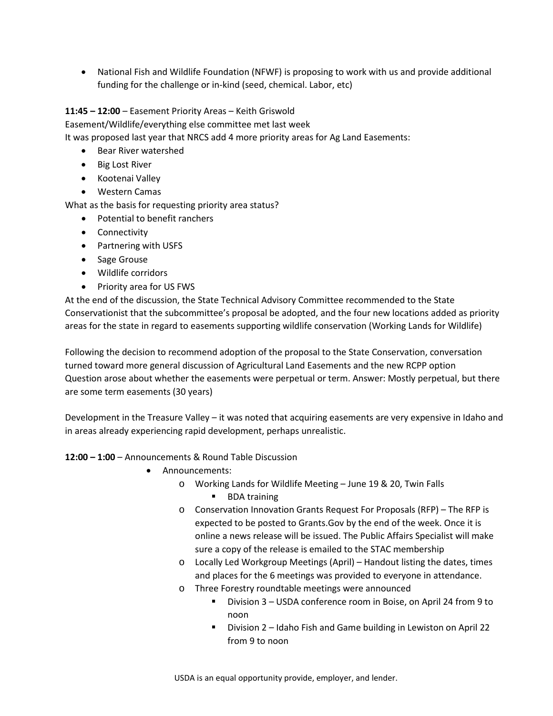• National Fish and Wildlife Foundation (NFWF) is proposing to work with us and provide additional funding for the challenge or in-kind (seed, chemical. Labor, etc)

## **11:45 – 12:00** – Easement Priority Areas – Keith Griswold

Easement/Wildlife/everything else committee met last week

It was proposed last year that NRCS add 4 more priority areas for Ag Land Easements:

- Bear River watershed
- Big Lost River
- Kootenai Valley
- Western Camas

What as the basis for requesting priority area status?

- Potential to benefit ranchers
- Connectivity
- Partnering with USFS
- Sage Grouse
- Wildlife corridors
- Priority area for US FWS

At the end of the discussion, the State Technical Advisory Committee recommended to the State Conservationist that the subcommittee's proposal be adopted, and the four new locations added as priority areas for the state in regard to easements supporting wildlife conservation (Working Lands for Wildlife)

Following the decision to recommend adoption of the proposal to the State Conservation, conversation turned toward more general discussion of Agricultural Land Easements and the new RCPP option Question arose about whether the easements were perpetual or term. Answer: Mostly perpetual, but there are some term easements (30 years)

Development in the Treasure Valley – it was noted that acquiring easements are very expensive in Idaho and in areas already experiencing rapid development, perhaps unrealistic.

### **12:00 – 1:00** – Announcements & Round Table Discussion

- Announcements:
	- o Working Lands for Wildlife Meeting June 19 & 20, Twin Falls
		- BDA training
	- o Conservation Innovation Grants Request For Proposals (RFP) The RFP is expected to be posted to Grants.Gov by the end of the week. Once it is online a news release will be issued. The Public Affairs Specialist will make sure a copy of the release is emailed to the STAC membership
	- o Locally Led Workgroup Meetings (April) Handout listing the dates, times and places for the 6 meetings was provided to everyone in attendance.
	- o Three Forestry roundtable meetings were announced
		- Division 3 USDA conference room in Boise, on April 24 from 9 to noon
		- Division 2 Idaho Fish and Game building in Lewiston on April 22 from 9 to noon

USDA is an equal opportunity provide, employer, and lender.